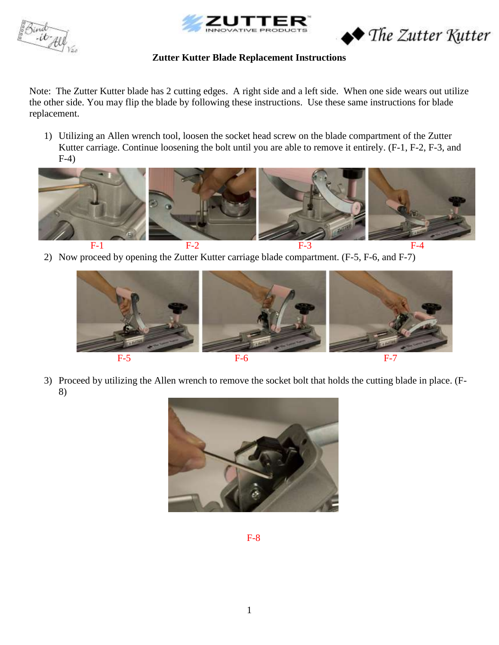





Note: The Zutter Kutter blade has 2 cutting edges. A right side and a left side. When one side wears out utilize the other side. You may flip the blade by following these instructions. Use these same instructions for blade replacement.

1) Utilizing an Allen wrench tool, loosen the socket head screw on the blade compartment of the Zutter Kutter carriage. Continue loosening the bolt until you are able to remove it entirely. (F-1, F-2, F-3, and F-4)



2) Now proceed by opening the Zutter Kutter carriage blade compartment. (F-5, F-6, and F-7)



3) Proceed by utilizing the Allen wrench to remove the socket bolt that holds the cutting blade in place. (F-8)



F-8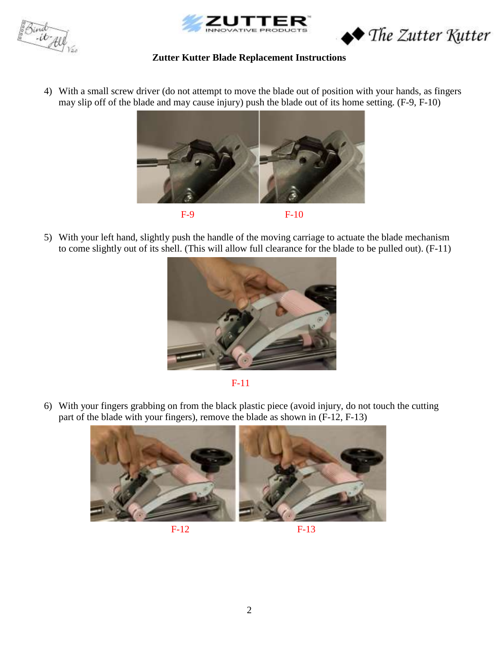Bind<br>- it All





4) With a small screw driver (do not attempt to move the blade out of position with your hands, as fingers may slip off of the blade and may cause injury) push the blade out of its home setting. (F-9, F-10)



5) With your left hand, slightly push the handle of the moving carriage to actuate the blade mechanism to come slightly out of its shell. (This will allow full clearance for the blade to be pulled out). (F-11)



F-11

6) With your fingers grabbing on from the black plastic piece (avoid injury, do not touch the cutting part of the blade with your fingers), remove the blade as shown in (F-12, F-13)





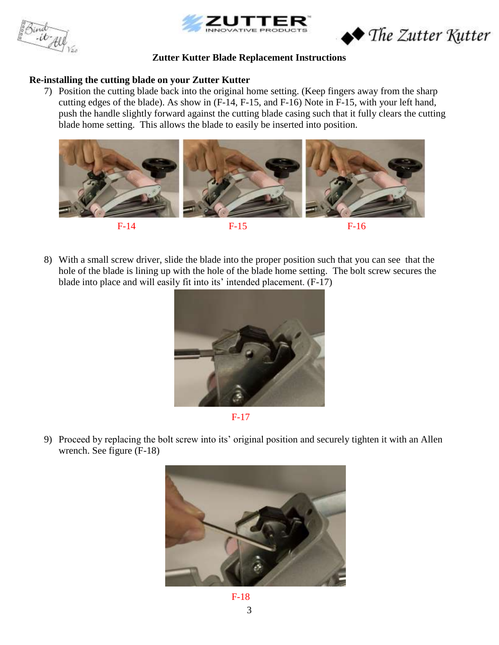





### **Re-installing the cutting blade on your Zutter Kutter**

7) Position the cutting blade back into the original home setting. (Keep fingers away from the sharp cutting edges of the blade). As show in (F-14, F-15, and F-16) Note in F-15, with your left hand, push the handle slightly forward against the cutting blade casing such that it fully clears the cutting blade home setting. This allows the blade to easily be inserted into position.



8) With a small screw driver, slide the blade into the proper position such that you can see that the hole of the blade is lining up with the hole of the blade home setting. The bolt screw secures the blade into place and will easily fit into its' intended placement. (F-17)





9) Proceed by replacing the bolt screw into its' original position and securely tighten it with an Allen wrench. See figure (F-18)



3 F-18